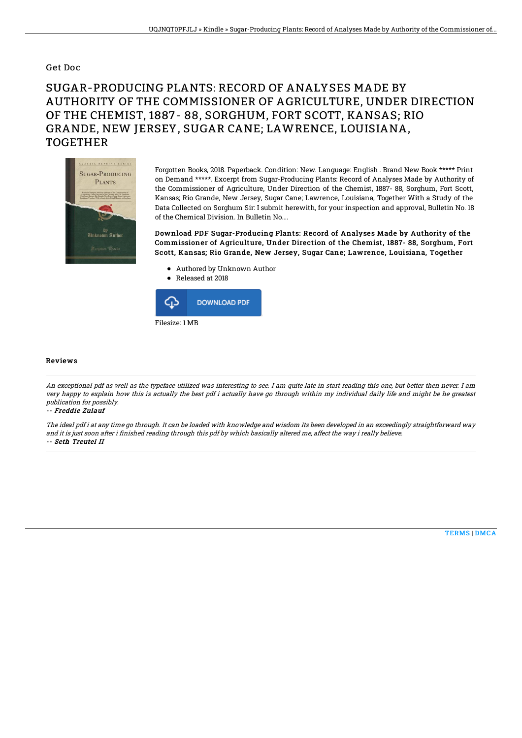### Get Doc

# SUGAR-PRODUCING PLANTS: RECORD OF ANALYSES MADE BY AUTHORITY OF THE COMMISSIONER OF AGRICULTURE, UNDER DIRECTION OF THE CHEMIST, 1887- 88, SORGHUM, FORT SCOTT, KANSAS; RIO GRANDE, NEW JERSEY, SUGAR CANE; LAWRENCE, LOUISIANA, TOGETHER



Forgotten Books, 2018. Paperback. Condition: New. Language: English . Brand New Book \*\*\*\*\* Print on Demand \*\*\*\*\*. Excerpt from Sugar-Producing Plants: Record of Analyses Made by Authority of the Commissioner of Agriculture, Under Direction of the Chemist, 1887- 88, Sorghum, Fort Scott, Kansas; Rio Grande, New Jersey, Sugar Cane; Lawrence, Louisiana, Together With a Study of the Data Collected on Sorghum Sir: I submit herewith, for your inspection and approval, Bulletin No. 18 of the Chemical Division. In Bulletin No....

Download PDF Sugar-Producing Plants: Record of Analyses Made by Authority of the Commissioner of Agriculture, Under Direction of the Chemist, 1887- 88, Sorghum, Fort Scott, Kansas; Rio Grande, New Jersey, Sugar Cane; Lawrence, Louisiana, Together

- Authored by Unknown Author
- Released at 2018



#### Reviews

An exceptional pdf as well as the typeface utilized was interesting to see. I am quite late in start reading this one, but better then never. I am very happy to explain how this is actually the best pdf i actually have go through within my individual daily life and might be he greatest publication for possibly.

#### -- Freddie Zulauf

The ideal pdf i at any time go through. It can be loaded with knowledge and wisdom Its been developed in an exceedingly straightforward way and it is just soon after i finished reading through this pdf by which basically altered me, affect the way i really believe. -- Seth Treutel II